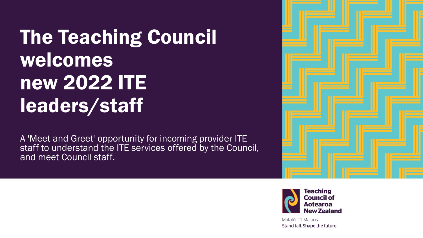# The Teaching Council welcomes new 2022 ITE leaders/staff

A 'Meet and Greet' opportunity for incoming provider ITE staff to understand the ITE services offered by the Council, and meet Council staff.





Matatū. Tū Mataora. Stand tall. Shape the future.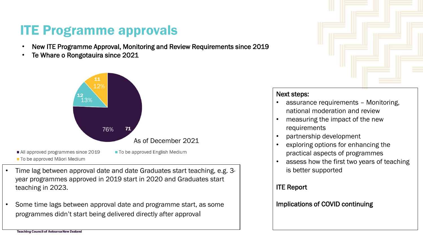#### ITE Programme approvals

- New ITE Programme Approval, Monitoring and Review Requirements since 2019
- Te Whare o Rongotauira since 2021



- To be approved Māori Medium
- Time lag between approval date and date Graduates start teaching, e.g. 3 year programmes approved in 2019 start in 2020 and Graduates start teaching in 2023.
- Some time lags between approval date and programme start, as some programmes didn't start being delivered directly after approval



#### Next steps:

- assurance requirements Monitoring, national moderation and review
- measuring the impact of the new requirements
- partnership development
- exploring options for enhancing the practical aspects of programmes
- assess how the first two years of teaching is better supported

#### ITE Report

#### Implications of COVID continuing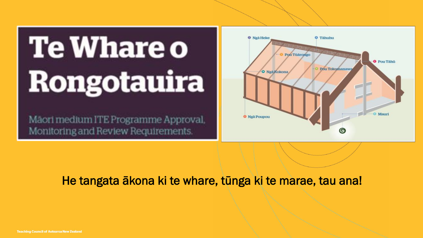# **Te Whare o Rongotauira**

Maori medium ITE Programme Approval. Monitoring and Review Requirements.



#### He tangata ākona ki te whare, tūnga ki te marae, tau ana!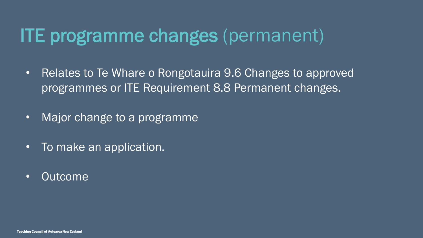## ITE programme changes (permanent)

- Relates to Te Whare o Rongotauira 9.6 Changes to approved programmes or ITE Requirement 8.8 Permanent changes.
- Major change to a programme
- To make an application.
- Outcome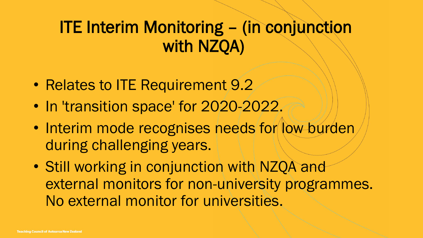#### ITE Interim Monitoring – (in conjunction with NZQA)

- Relates to ITE Requirement 9.2
- In 'transition space' for 2020-2022.
- Interim mode recognises needs for low burden during challenging years.
- Still working in conjunction with NZQA and external monitors for non-university programmes. No external monitor for universities.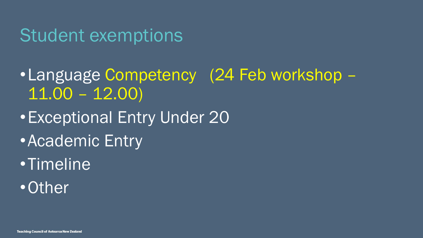#### Student exemptions

- •Language Competency (24 Feb workshop 11.00 – 12.00)
- •Exceptional Entry Under 20
- •Academic Entry
- •Timeline
- •Other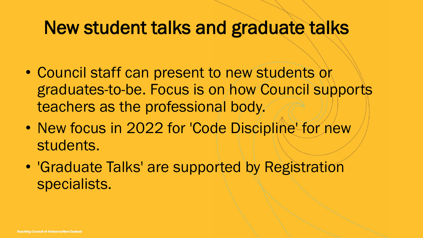### New student talks and graduate talks

- Council staff can present to new students or graduates-to-be. Focus is on how Council supports teachers as the professional body.
- New focus in 2022 for 'Code Discipline' for new students.
- 'Graduate Talks' are supported by Registration specialists.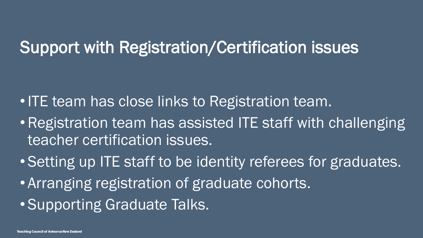#### Support with Registration/Certification issues

- ITE team has close links to Registration team.
- Registration team has assisted ITE staff with challenging teacher certification issues.
- Setting up ITE staff to be identity referees for graduates.
- Arranging registration of graduate cohorts.
- Supporting Graduate Talks.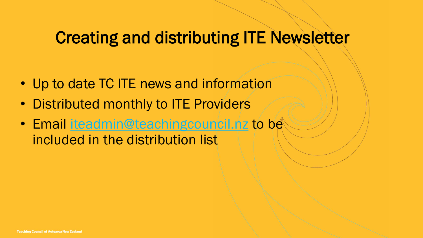#### Creating and distributing ITE Newsletter

- Up to date TC ITE news and information
- Distributed monthly to ITE Providers
- Email [iteadmin@teachingcouncil.nz](mailto:iteadmin@teachingcouncil.nz) to be included in the distribution list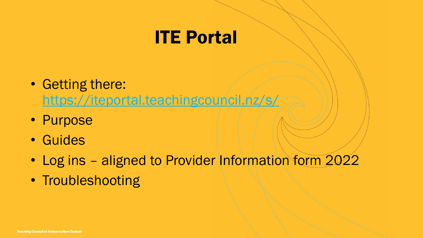### ITE Portal

- Getting there: <https://iteportal.teachingcouncil.nz/s/>
- Purpose
- Guides
- Log ins aligned to Provider Information form 2022
- Troubleshooting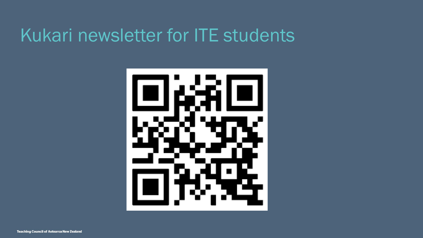### Kukari newsletter for ITE students